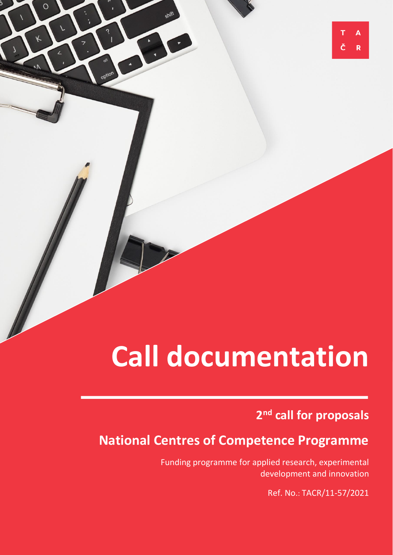# **Call documentation**

 $\overline{O}$ 

### **2 nd call for proposals**

A

R

## **National Centres of Competence Programme**

Funding programme for applied research, experimental development and innovation

Ref. No.: TACR/11-57/2021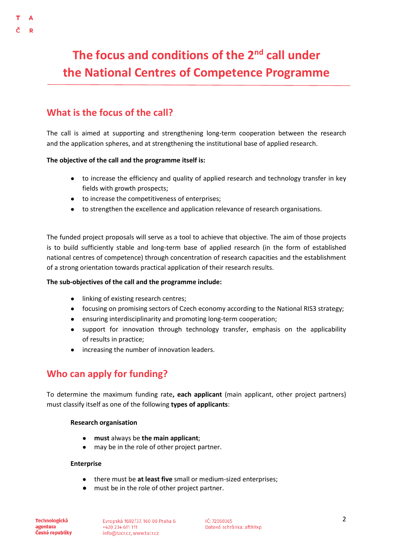# **The focus and conditions of the 2nd call under the National Centres of Competence Programme**

### **What is the focus of the call?**

The call is aimed at supporting and strengthening long-term cooperation between the research and the application spheres, and at strengthening the institutional base of applied research.

#### **The objective of the call and the programme itself is:**

- to increase the efficiency and quality of applied research and technology transfer in key fields with growth prospects;
- to increase the competitiveness of enterprises;
- to strengthen the excellence and application relevance of research organisations.

The funded project proposals will serve as a tool to achieve that objective. The aim of those projects is to build sufficiently stable and long-term base of applied research (in the form of established national centres of competence) through concentration of research capacities and the establishment of a strong orientation towards practical application of their research results.

#### **The sub-objectives of the call and the programme include:**

- linking of existing research centres;
- focusing on promising sectors of Czech economy according to the National RIS3 strategy;
- ensuring interdisciplinarity and promoting long-term cooperation;
- support for innovation through technology transfer, emphasis on the applicability of results in practice;
- increasing the number of innovation leaders.

### **Who can apply for funding?**

To determine the maximum funding rate**, each applicant** (main applicant, other project partners) must classify itself as one of the following **types of applicants**:

#### **Research organisation**

- **must** always be **the main applicant**;
- may be in the role of other project partner.

#### **Enterprise**

- there must be **at least five** small or medium-sized enterprises;
- must be in the role of other project partner.

**Technologická** agentura České republiky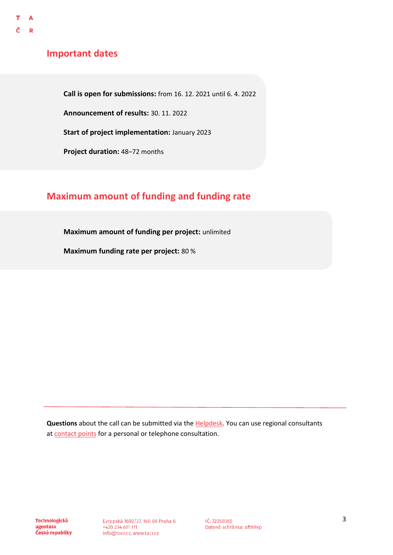### **Important dates**

**Call is open for submissions:** from 16. 12. 2021 until 6. 4. 2022

**Announcement of results:** 30. 11. 2022

**Start of project implementation:** January 2023

**Project duration:** 48–72 months

### **Maximum amount of funding and funding rate**

**Maximum amount of funding per project:** unlimited

**Maximum funding rate per project:** 80 %

**Questions** about the call can be submitted via the **Helpdesk**. You can use regional consultants at [contact points](https://www.tacr.cz/o-nas/regionalni-kontaktni-mista/) for a personal or telephone consultation.

**Technologická** agentura České republiky

Evropská 1692/37, 160 00 Praha 6 +420 234 611 111 info@tacr.cz, www.tacr.cz

IČ: 72050365 Datová schránka: afth9xp 3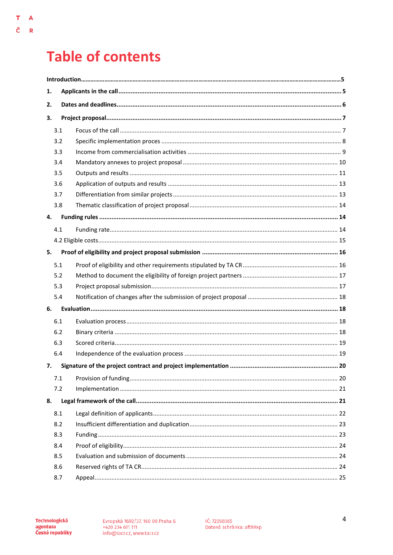# **Table of contents**

 $\mathbf T$  $\overline{\mathbf{A}}$ 

Č  $\bar{\mathbf{R}}$ 

| 1.  |     |  |  |  |  |
|-----|-----|--|--|--|--|
| 2.  |     |  |  |  |  |
| З.  |     |  |  |  |  |
|     | 3.1 |  |  |  |  |
|     | 3.2 |  |  |  |  |
|     | 3.3 |  |  |  |  |
|     | 3.4 |  |  |  |  |
|     | 3.5 |  |  |  |  |
|     | 3.6 |  |  |  |  |
|     | 3.7 |  |  |  |  |
|     | 3.8 |  |  |  |  |
| 4.  |     |  |  |  |  |
|     | 4.1 |  |  |  |  |
|     |     |  |  |  |  |
| 5.  |     |  |  |  |  |
|     | 5.1 |  |  |  |  |
|     | 5.2 |  |  |  |  |
|     | 5.3 |  |  |  |  |
|     | 5.4 |  |  |  |  |
| 6.  |     |  |  |  |  |
| 6.1 |     |  |  |  |  |
|     | 6.2 |  |  |  |  |
|     | 6.3 |  |  |  |  |
|     | 6.4 |  |  |  |  |
| 7.  |     |  |  |  |  |
|     | 7.1 |  |  |  |  |
|     | 7.2 |  |  |  |  |
| 8.  |     |  |  |  |  |
| 8.1 |     |  |  |  |  |
| 8.2 |     |  |  |  |  |
| 8.3 |     |  |  |  |  |
| 8.4 |     |  |  |  |  |
| 8.5 |     |  |  |  |  |
| 8.6 |     |  |  |  |  |
|     | 8.7 |  |  |  |  |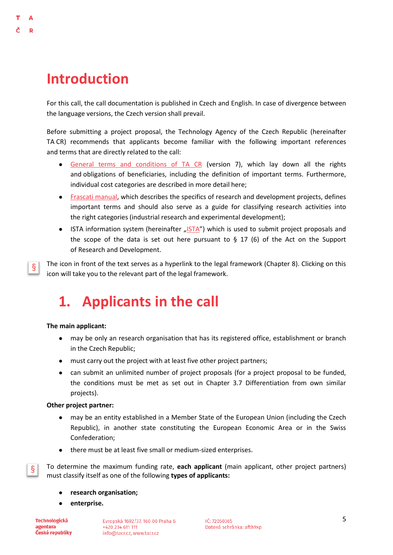# **Introduction**

D

ş

For this call, the call documentation is published in Czech and English. In case of divergence between the language versions, the Czech version shall prevail.

Before submitting a project proposal, the Technology Agency of the Czech Republic (hereinafter TA CR) recommends that applicants become familiar with the following important references and terms that are directly related to the call:

- [General terms and conditions of TA CR](https://www.tacr.cz/wp-content/uploads/documents/2021/12/12/1639268365_V%C5%A1eobecn%C3%A9%20podm%C3%ADnky%20v7.pdf) (version 7), which lay down all the rights and obligations of beneficiaries, including the definition of important terms. Furthermore, individual cost categories are described in more detail here;
- [Frascati manual,](https://www.tacr.cz/dokums_raw/novinky/170404_FRASCATI%20pdf_final_ke%20koment%C3%A1%C5%99%C5%AFm.pdf) which describes the specifics of research and development projects, defines important terms and should also serve as a guide for classifying research activities into the right categories (industrial research and experimental development);
- [ISTA](https://ista.tacr.cz/) information system (hereinafter  $\sqrt{S T A''}$ ) which is used to submit project proposals and the scope of the data is set out here pursuant to  $\S$  17 (6) of the Act on the Support of Research and Development.

The icon in front of the text serves as a hyperlink to the legal framework (Chapter 8). Clicking on this icon will take you to the relevant part of the legal framework.

# <span id="page-4-0"></span>**1. Applicants in the call**

#### **The main applicant:**

- may be only an research organisation that has its registered office, establishment or branch in the Czech Republic;
- must carry out the project with at least five other project partners;
- can submit an unlimited number of project proposals (for a project proposal to be funded, the conditions must be met as set out in Chapter 3.7 Differentiation from own similar projects).

#### **Other project partner:**

- may be an entity established in a Member State of the European Union (including the Czech Republic), in another state constituting the European Economic Area or in the Swiss Confederation;
- there must be at least five small or medium-sized enterprises.

To determine the maximum funding rate, **each applicant** (main applicant, other project partners) must classify itself as one of the following **types of applicants:**

- **research organisation;**
- enterprise.

**Technologická** agentura České republiky

§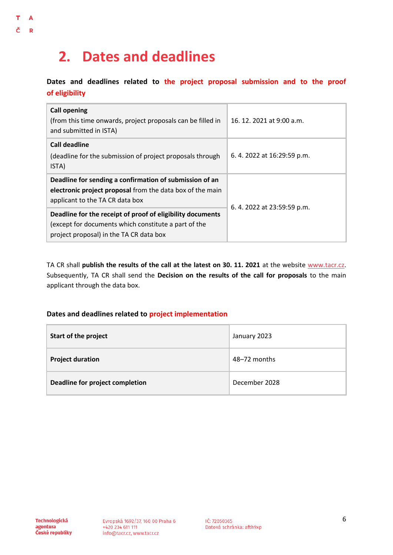# <span id="page-5-0"></span>**2. Dates and deadlines**

**Dates and deadlines related to the project proposal submission and to the proof of eligibility**

| <b>Call opening</b><br>(from this time onwards, project proposals can be filled in<br>and submitted in ISTA)                                                  | 16, 12, 2021 at 9:00 a.m. |  |
|---------------------------------------------------------------------------------------------------------------------------------------------------------------|---------------------------|--|
| Call deadline<br>(deadline for the submission of project proposals through<br>ISTA)                                                                           | 6.4.2022 at 16:29:59 p.m. |  |
| Deadline for sending a confirmation of submission of an<br>electronic project proposal from the data box of the main<br>applicant to the TA CR data box       | 6.4.2022 at 23:59:59 p.m. |  |
| Deadline for the receipt of proof of eligibility documents<br>(except for documents which constitute a part of the<br>project proposal) in the TA CR data box |                           |  |

TA CR shall **publish the results of the call at the latest on 30. 11. 2021** at the website [www.tacr.cz.](http://www.tacr.cz/) Subsequently, TA CR shall send the **Decision on the results of the call for proposals** to the main applicant through the data box.

#### **Dates and deadlines related to project implementation**

| <b>Start of the project</b>     | January 2023  |
|---------------------------------|---------------|
| <b>Project duration</b>         | 48–72 months  |
| Deadline for project completion | December 2028 |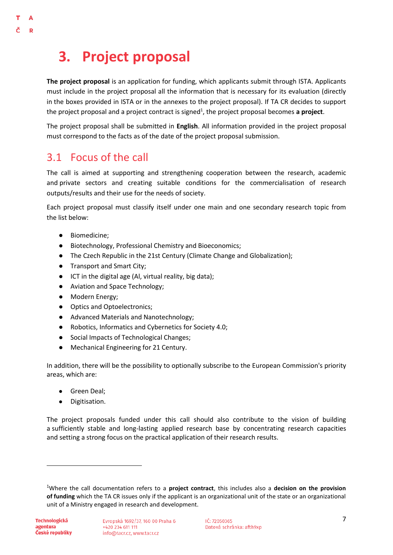# <span id="page-6-0"></span>**3. Project proposal**

**The project proposal** is an application for funding, which applicants submit through ISTA. Applicants must include in the project proposal all the information that is necessary for its evaluation (directly in the boxes provided in ISTA or in the annexes to the project proposal). If TA CR decides to support the project proposal and a project contract is signed<sup>1</sup>, the project proposal becomes a project.

The project proposal shall be submitted in **English**. All information provided in the project proposal must correspond to the facts as of the date of the project proposal submission.

### <span id="page-6-1"></span>3.1 Focus of the call

 $\Lambda$  $\mathbf{D}$ 

> The call is aimed at supporting and strengthening cooperation between the research, academic and private sectors and creating suitable conditions for the commercialisation of research outputs/results and their use for the needs of society.

> Each project proposal must classify itself under one main and one secondary research topic from the list below:

- Biomedicine;
- Biotechnology, Professional Chemistry and Bioeconomics;
- The Czech Republic in the 21st Century (Climate Change and Globalization);
- Transport and Smart City;
- ICT in the digital age (Al, virtual reality, big data);
- Aviation and Space Technology;
- Modern Energy;
- Optics and Optoelectronics;
- Advanced Materials and Nanotechnology;
- Robotics, Informatics and Cybernetics for Society 4.0;
- Social Impacts of Technological Changes;
- Mechanical Engineering for 21 Century.

In addition, there will be the possibility to optionally subscribe to the European Commission's priority areas, which are:

- Green Deal;
- Digitisation.

The project proposals funded under this call should also contribute to the vision of building a sufficiently stable and long-lasting applied research base by concentrating research capacities and setting a strong focus on the practical application of their research results.

 $\overline{a}$ 

<sup>1</sup>Where the call documentation refers to a **project contract**, this includes also a **decision on the provision of funding** which the TA CR issues only if the applicant is an organizational unit of the state or an organizational unit of a Ministry engaged in research and development.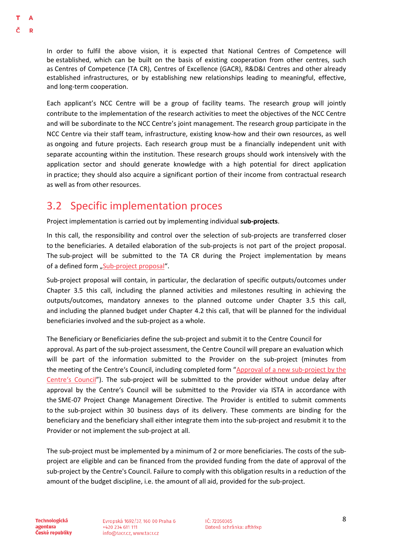In order to fulfil the above vision, it is expected that National Centres of Competence will be established, which can be built on the basis of existing cooperation from other centres, such as Centres of Competence (TA CR), Centres of Excellence (GACR), R&D&I Centres and other already established infrastructures, or by establishing new relationships leading to meaningful, effective, and long-term cooperation.

Each applicant's NCC Centre will be a group of facility teams. The research group will jointly contribute to the implementation of the research activities to meet the objectives of the NCC Centre and will be subordinate to the NCC Centre's joint management. The research group participate in the NCC Centre via their staff team, infrastructure, existing know-how and their own resources, as well as ongoing and future projects. Each research group must be a financially independent unit with separate accounting within the institution. These research groups should work intensively with the application sector and should generate knowledge with a high potential for direct application in practice; they should also acquire a significant portion of their income from contractual research as well as from other resources.

### <span id="page-7-0"></span>3.2 Specific implementation proces

Project implementation is carried out by implementing individual **sub-projects**.

In this call, the responsibility and control over the selection of sub-projects are transferred closer to the beneficiaries. A detailed elaboration of the sub-projects is not part of the project proposal. The sub-project will be submitted to the TA CR during the Project implementation by means of a defined form "[Sub-project proposal](https://www.tacr.cz/wp-content/uploads/documents/2021/12/15/1639557149_N%C3%A1vrh%20d%C3%ADl%C4%8D%C3%ADho%20projektu.xlsx)".

Sub-project proposal will contain, in particular, the declaration of specific outputs/outcomes under Chapter 3.5 this call, including the planned activities and milestones resulting in achieving the outputs/outcomes, mandatory annexes to the planned outcome under Chapter 3.5 this call, and including the planned budget under Chapter 4.2 this call, that will be planned for the individual beneficiaries involved and the sub-project as a whole.

The Beneficiary or Beneficiaries define the sub-project and submit it to the Centre Council for approval. As part of the sub-project assessment, the Centre Council will prepare an evaluation which will be part of the information submitted to the Provider on the sub-project (minutes from the meeting of the Centre's Council, including completed form "[Approval of a new sub-project by the](https://www.tacr.cz/wp-content/uploads/documents/2021/12/15/1639557190_Souhlas%20Rady%20centra%20s%20nov%C3%BDm%20d%C3%ADl%C4%8D%C3%ADm%20projektem_se%20zm%C4%9Bnou%20projektu.docx)  [Centre's Council"](https://www.tacr.cz/wp-content/uploads/documents/2021/12/15/1639557190_Souhlas%20Rady%20centra%20s%20nov%C3%BDm%20d%C3%ADl%C4%8D%C3%ADm%20projektem_se%20zm%C4%9Bnou%20projektu.docx)). The sub-project will be submitted to the provider without undue delay after approval by the Centre's Council will be submitted to the Provider via ISTA in accordance with the SME-07 Project Change Management Directive. The Provider is entitled to submit comments to the sub-project within 30 business days of its delivery. These comments are binding for the beneficiary and the beneficiary shall either integrate them into the sub-project and resubmit it to the Provider or not implement the sub-project at all.

The sub-project must be implemented by a minimum of 2 or more beneficiaries. The costs of the subproject are eligible and can be financed from the provided funding from the date of approval of the sub-project by the Centre's Council. Failure to comply with this obligation results in a reduction of the amount of the budget discipline, i.e. the amount of all aid, provided for the sub-project.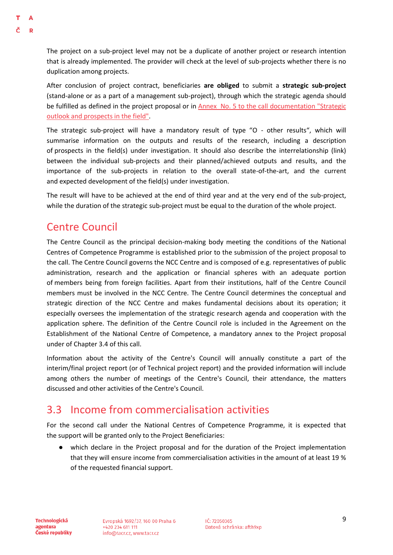The project on a sub-project level may not be a duplicate of another project or research intention that is already implemented. The provider will check at the level of sub-projects whether there is no duplication among projects.

After conclusion of project contract, beneficiaries **are obliged** to submit a **strategic sub-project** (stand-alone or as a part of a management sub-project), through which the strategic agenda should be fulfilled as defined in the project proposal or in [Annex No. 5 to the call documentation "Strategic](https://www.tacr.cz/wp-content/uploads/documents/2021/12/15/1639557868_Annex%20No.%205%20-%20Strategic%20outlook%20and%20prospects%20in%20the%20field.docx)  [outlook and prospects in the field".](https://www.tacr.cz/wp-content/uploads/documents/2021/12/15/1639557868_Annex%20No.%205%20-%20Strategic%20outlook%20and%20prospects%20in%20the%20field.docx)

The strategic sub-project will have a mandatory result of type "O - other results", which will summarise information on the outputs and results of the research, including a description of prospects in the field(s) under investigation. It should also describe the interrelationship (link) between the individual sub-projects and their planned/achieved outputs and results, and the importance of the sub-projects in relation to the overall state-of-the-art, and the current and expected development of the field(s) under investigation.

The result will have to be achieved at the end of third year and at the very end of the sub-project, while the duration of the strategic sub-project must be equal to the duration of the whole project.

### Centre Council

The Centre Council as the principal decision-making body meeting the conditions of the National Centres of Competence Programme is established prior to the submission of the project proposal to the call. The Centre Council governs the NCC Centre and is composed of e.g. representatives of public administration, research and the application or financial spheres with an adequate portion of members being from foreign facilities. Apart from their institutions, half of the Centre Council members must be involved in the NCC Centre. The Centre Council determines the conceptual and strategic direction of the NCC Centre and makes fundamental decisions about its operation; it especially oversees the implementation of the strategic research agenda and cooperation with the application sphere. The definition of the Centre Council role is included in the Agreement on the Establishment of the National Centre of Competence, a mandatory annex to the Project proposal under of Chapter 3.4 of this call.

Information about the activity of the Centre's Council will annually constitute a part of the interim/final project report (or of Technical project report) and the provided information will include among others the number of meetings of the Centre's Council, their attendance, the matters discussed and other activities of the Centre's Council.

### <span id="page-8-0"></span>3.3 Income from commercialisation activities

For the second call under the National Centres of Competence Programme, it is expected that the support will be granted only to the Project Beneficiaries:

● which declare in the Project proposal and for the duration of the Project implementation that they will ensure income from commercialisation activities in the amount of at least 19 % of the requested financial support.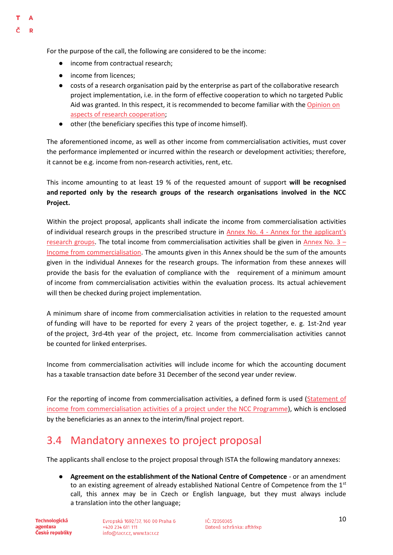For the purpose of the call, the following are considered to be the income:

- income from contractual research:
- income from licences;

 $\Lambda$ D

- costs of a research organisation paid by the enterprise as part of the collaborative research project implementation, i.e. in the form of effective cooperation to which no targeted Public Aid was granted. In this respect, it is recommended to become familiar with th[e Opinion on](https://www.tacr.cz/dokums_raw/stanoviska/Stanovisko_k_aspektum_vyzkumne_spoluprace.pdf)  [aspects of research cooperation;](https://www.tacr.cz/dokums_raw/stanoviska/Stanovisko_k_aspektum_vyzkumne_spoluprace.pdf)
- other (the beneficiary specifies this type of income himself).

The aforementioned income, as well as other income from commercialisation activities, must cover the performance implemented or incurred within the research or development activities; therefore, it cannot be e.g. income from non-research activities, rent, etc.

This income amounting to at least 19 % of the requested amount of support **will be recognised and reported only by the research groups of the research organisations involved in the NCC Project.** 

Within the project proposal, applicants shall indicate the income from commercialisation activities of individual research groups in the prescribed structure in Annex No. 4 - [Annex for the applicant's](https://www.tacr.cz/wp-content/uploads/documents/2021/12/15/1639557789_Annex%20No.%204%20-%20Annex%20for%20applicant)  [research groups.](https://www.tacr.cz/wp-content/uploads/documents/2021/12/15/1639557789_Annex%20No.%204%20-%20Annex%20for%20applicant) The total income from commercialisation activities shall be given in [Annex No. 3](https://www.tacr.cz/wp-content/uploads/documents/2021/12/15/1639557733_Annex%20No.%203%20-%20Income%20from%20commercialisation.xlsx) – [Income from commercialisation.](https://www.tacr.cz/wp-content/uploads/documents/2021/12/15/1639557733_Annex%20No.%203%20-%20Income%20from%20commercialisation.xlsx) The amounts given in this Annex should be the sum of the amounts given in the individual Annexes for the research groups. The information from these annexes will provide the basis for the evaluation of compliance with the requirement of a minimum amount of income from commercialisation activities within the evaluation process. Its actual achievement will then be checked during project implementation.

A minimum share of income from commercialisation activities in relation to the requested amount of funding will have to be reported for every 2 years of the project together, e. g. 1st-2nd year of the project, 3rd-4th year of the project, etc. Income from commercialisation activities cannot be counted for linked enterprises.

Income from commercialisation activities will include income for which the accounting document has a taxable transaction date before 31 December of the second year under review.

For the reporting of income from commercialisation activities, a defined form is used (Statement of [income from commercialisation activities of a project under the NCC Programme\)](https://www.tacr.cz/wp-content/uploads/documents/2021/12/15/1639557224_V%C3%BDkaz%20p%C5%99%C3%ADjm%C5%AF%20z%20komercializa%C4%8Dn%C3%ADch%20aktivit%20projektu%20v%20r%C3%A1mci%20programu%20NCK.xlsx), which is enclosed by the beneficiaries as an annex to the interim/final project report.

### <span id="page-9-0"></span>3.4 Mandatory annexes to project proposal

The applicants shall enclose to the project proposal through ISTA the following mandatory annexes:

● **Agreement on the establishment of the National Centre of Competence** - or an amendment to an existing agreement of already established National Centre of Competence from the  $1<sup>st</sup>$ call, this annex may be in Czech or English language, but they must always include a translation into the other language;

**Technologická** agentura České republiky Evropská 1692/37, 160 00 Praha 6 +420 234 611 111 info@tacr.cz, www.tacr.cz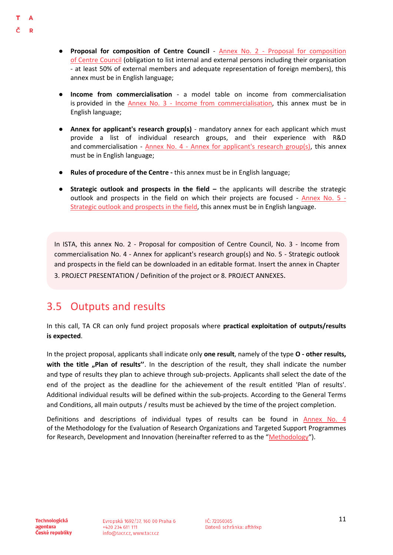- D
- **Proposal for composition of Centre Council** Annex No. 2 [Proposal for composition](https://www.tacr.cz/wp-content/uploads/documents/2021/12/15/1639557687_Annex%20No.%202%20-%20Proposal%20for%20composition%20of%20Centre%20Council.xlsx)  of [Centre Council](https://www.tacr.cz/wp-content/uploads/documents/2021/12/15/1639557687_Annex%20No.%202%20-%20Proposal%20for%20composition%20of%20Centre%20Council.xlsx) (obligation to list internal and external persons including their organisation - at least 50% of external members and adequate representation of foreign members), this annex must be in English language;
- **Income from commercialisation** a model table on income from commercialisation is provided in the Annex No. 3 - [Income from commercialisation,](https://www.tacr.cz/wp-content/uploads/documents/2021/12/15/1639557733_Annex%20No.%203%20-%20Income%20from%20commercialisation.xlsx) this annex must be in English language;
- **Annex for applicant's research group(s)** mandatory annex for each applicant which must provide a list of individual research groups, and their experience with R&D and commercialisation -  $\Delta$ nnex No. 4 - [Annex for applicant's research group\(s\),](https://www.tacr.cz/wp-content/uploads/documents/2021/12/15/1639557789_Annex%20No.%204%20-%20Annex%20for%20applicant) this annex must be in English language;
- **Rules of procedure of the Centre -** this annex must be in English language;
- **•** Strategic outlook and prospects in the field the applicants will describe the strategic outlook and prospects in the field on which their projects are focused - [Annex No. 5 -](https://www.tacr.cz/wp-content/uploads/documents/2021/12/15/1639557868_Annex%20No.%205%20-%20Strategic%20outlook%20and%20prospects%20in%20the%20field.docx) [Strategic outlook and prospects in the field,](https://www.tacr.cz/wp-content/uploads/documents/2021/12/15/1639557868_Annex%20No.%205%20-%20Strategic%20outlook%20and%20prospects%20in%20the%20field.docx) this annex must be in English language.

In ISTA, this annex No. 2 - Proposal for composition of Centre Council, No. 3 - Income from commercialisation No. 4 - Annex for applicant's research group(s) and No. 5 - Strategic outlook and prospects in the field can be downloaded in an editable format. Insert the annex in Chapter 3. PROJECT PRESENTATION / Definition of the project or 8. PROJECT ANNEXES.

### <span id="page-10-0"></span>3.5 Outputs and results

In this call, TA CR can only fund project proposals where **practical exploitation of outputs/results is expected**.

In the project proposal, applicants shall indicate only **one result**, namely of the type **O - other results,**  with the title "Plan of results". In the description of the result, they shall indicate the number and type of results they plan to achieve through sub-projects. Applicants shall select the date of the end of the project as the deadline for the achievement of the result entitled 'Plan of results'. Additional individual results will be defined within the sub-projects. According to the General Terms and Conditions, all main outputs / results must be achieved by the time of the project completion.

Definitions and descriptions of individual types of results can be found in [Annex No. 4](https://www.vyzkum.cz/FrontClanek.aspx?idsekce=799796&ad=1&attid=847689) of the Methodology for the Evaluation of Research Organizations and Targeted Support Programmes for Research, Development and Innovation (hereinafter referred to as the "[Methodo](https://www.vyzkum.cz/FrontClanek.aspx?idsekce=799796&ad=1&attid=847689)logy").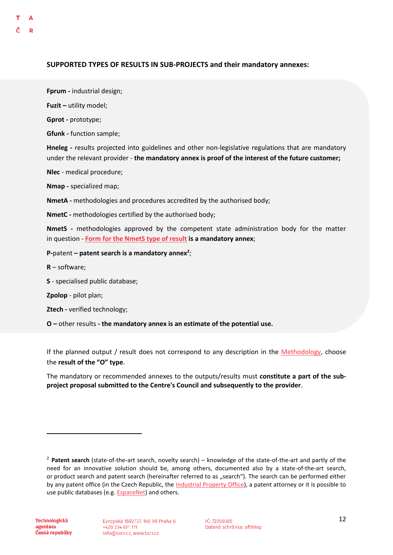#### **SUPPORTED TYPES OF RESULTS IN SUB-PROJECTS and their mandatory annexes:**

**Fprum -** industrial design;

**Fuzit –** utility model;

**Gprot -** prototype;

**Gfunk -** function sample;

**Hneleg -** results projected into guidelines and other non-legislative regulations that are mandatory under the relevant provider - **the mandatory annex is proof of the interest of the future customer;**

**Nlec** - medical procedure;

**Nmap -** specialized map;

**NmetA -** methodologies and procedures accredited by the authorised body;

**NmetC -** methodologies certified by the authorised body;

**NmetS -** methodologies approved by the competent state administration body for the matter in question - **[Form for the NmetS type of result](https://www.tacr.cz/dokumenty/formular-pro-druh-vysledku-nmets-12) is a mandatory annex**;

**P-**patent **– patent search is a mandatory annex<sup>2</sup>** ;

**R** – software;

**S** - specialised public database;

**Zpolop** - pilot plan;

**Ztech -** verified technology;

**O –** other results **- the mandatory annex is an estimate of the potential use.**

If the planned output / result does not correspond to any description in the [Methodology,](https://www.vyzkum.cz/FrontClanek.aspx?idsekce=799796) choose the **result of the "O" type**.

The mandatory or recommended annexes to the outputs/results must **constitute a part of the subproject proposal submitted to the Centre's Council and subsequently to the provider**.

**.** 

<sup>2</sup> **Patent search** (state-of-the-art search, novelty search) – knowledge of the state-of-the-art and partly of the need for an innovative solution should be, among others, documented also by a state-of-the-art search, or product search and patent search (hereinafter referred to as "search"). The search can be performed either by any patent office (in the Czech Republic, the Industrial Property Office), a patent attorney or it is possible to use public databases (e.g. **EspaceNet**) and others.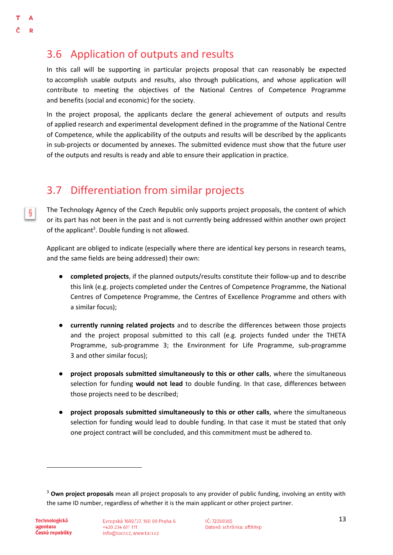$|\S|$ 

### <span id="page-12-0"></span>3.6 Application of outputs and results

In this call will be supporting in particular projects proposal that can reasonably be expected to accomplish usable outputs and results, also through publications, and whose application will contribute to meeting the objectives of the National Centres of Competence Programme and benefits (social and economic) for the society.

In the project proposal, the applicants declare the general achievement of outputs and results of applied research and experimental development defined in the programme of the National Centre of Competence, while the applicability of the outputs and results will be described by the applicants in sub-projects or documented by annexes. The submitted evidence must show that the future user of the outputs and results is ready and able to ensure their application in practice.

### <span id="page-12-1"></span>3.7 Differentiation from similar projects

The Technology Agency of the Czech Republic only supports project proposals, the content of which or its part has not been in the past and is not currently being addressed within another own project of the applicant<sup>3</sup>. Double funding is not allowed.

Applicant are obliged to indicate (especially where there are identical key persons in research teams, and the same fields are being addressed) their own:

- **completed projects**, if the planned outputs/results constitute their follow-up and to describe this link (e.g. projects completed under the Centres of Competence Programme, the National Centres of Competence Programme, the Centres of Excellence Programme and others with a similar focus);
- **currently running related projects** and to describe the differences between those projects and the project proposal submitted to this call (e.g. projects funded under the THETA Programme, sub-programme 3; the Environment for Life Programme, sub-programme 3 and other similar focus);
- **project proposals submitted simultaneously to this or other calls**, where the simultaneous selection for funding **would not lead** to double funding. In that case, differences between those projects need to be described;
- **project proposals submitted simultaneously to this or other calls**, where the simultaneous selection for funding would lead to double funding. In that case it must be stated that only one project contract will be concluded, and this commitment must be adhered to.

 $\overline{a}$ 

<sup>3</sup> **Own project proposals** mean all project proposals to any provider of public funding, involving an entity with the same ID number, regardless of whether it is the main applicant or other project partner.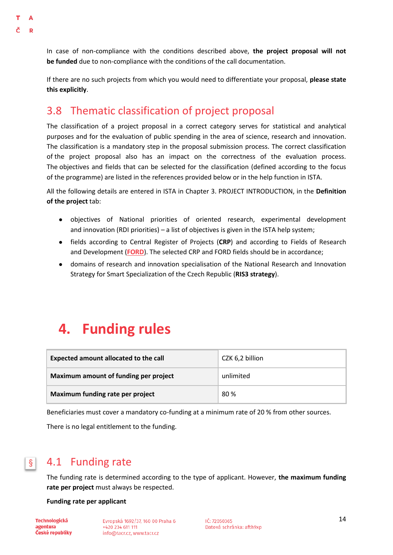<span id="page-13-2"></span>In case of non-compliance with the conditions described above, **the project proposal will not be funded** due to non-compliance with the conditions of the call documentation.

If there are no such projects from which you would need to differentiate your proposal, **please state this explicitly**.

### <span id="page-13-0"></span>3.8 Thematic classification of project proposal

The classification of a project proposal in a correct category serves for statistical and analytical purposes and for the evaluation of public spending in the area of science, research and innovation. The classification is a mandatory step in the proposal submission process. The correct classification of the project proposal also has an impact on the correctness of the evaluation process. The objectives and fields that can be selected for the classification (defined according to the focus of the programme) are listed in the references provided below or in the help function in ISTA.

All the following details are entered in ISTA in Chapter 3. PROJECT INTRODUCTION, in the **Definition of the project** tab:

- objectives of National priorities of oriented research, experimental development and innovation (RDI priorities) – a list of objectives is given in the ISTA help system;
- fields according to Central Register of Projects (**CRP**) and according to Fields of Research and Development (**[FORD](http://www.vyzkum.cz/storage/att/98E57750704C86E383E673EC6E7D05A6/Ciselnik_oboru_Frascati_v20171207web.pdf)**). The selected CRP and FORD fields should be in accordance;
- domains of research and innovation specialisation of the National Research and Innovation Strategy for Smart Specialization of the Czech Republic (**RIS3 strategy**).

# <span id="page-13-1"></span>**4. Funding rules**

| Expected amount allocated to the call | CZK 6,2 billion |
|---------------------------------------|-----------------|
| Maximum amount of funding per project | unlimited       |
| Maximum funding rate per project      | 80%             |

Beneficiaries must cover a mandatory co-funding at a minimum rate of 20 % from other sources.

There is no legal entitlement to the funding.

#### 4.1 Funding rate  $\S \mid$

The funding rate is determined according to the type of applicant. However, **the maximum funding rate per project** must always be respected.

**Funding rate per applicant**

**Technologická** agentura České republiky Evropská 1692/37, 160 00 Praha 6 +420 234 611 111 info@tacr.cz, www.tacr.cz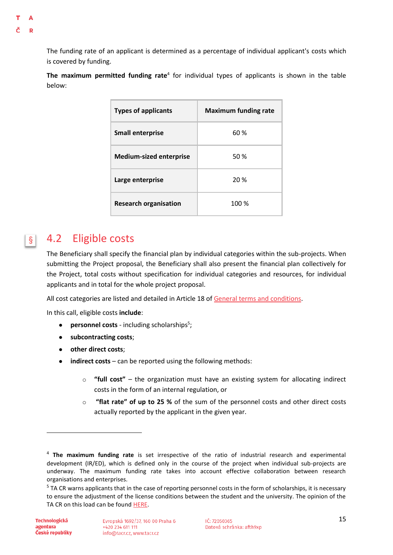<span id="page-14-0"></span>The funding rate of an applicant is determined as a percentage of individual applicant's costs which is covered by funding.

The maximum permitted funding rate<sup>4</sup> for individual types of applicants is shown in the table below:

| <b>Types of applicants</b>     | <b>Maximum funding rate</b> |  |
|--------------------------------|-----------------------------|--|
| <b>Small enterprise</b>        | 60 %                        |  |
| <b>Medium-sized enterprise</b> | 50%                         |  |
| Large enterprise               | 20 %                        |  |
| <b>Research organisation</b>   | 100 %                       |  |

#### 4.2 Eligible costs  $\S \mid$

The Beneficiary shall specify the financial plan by individual categories within the sub-projects. When submitting the Project proposal, the Beneficiary shall also present the financial plan collectively for the Project, total costs without specification for individual categories and resources, for individual applicants and in total for the whole project proposal.

All cost categories are listed and detailed in Article 18 of [General terms and conditions.](https://www.tacr.cz/wp-content/uploads/documents/2021/12/12/1639268365_V%C5%A1eobecn%C3%A9%20podm%C3%ADnky%20v7.pdf)

In this call, eligible costs **include**:

- **•** personnel costs including scholarships<sup>5</sup>;
- **subcontracting costs**;
- **other direct costs**;
- **indirect costs** can be reported using the following methods:
	- o **"full cost"** the organization must have an existing system for allocating indirect costs in the form of an internal regulation, or
	- o **"flat rate" of up to 25 %** of the sum of the personnel costs and other direct costs actually reported by the applicant in the given year.

**.** 

<sup>4</sup> **The maximum funding rate** is set irrespective of the ratio of industrial research and experimental development (IR/ED), which is defined only in the course of the project when individual sub-projects are underway. The maximum funding rate takes into account effective collaboration between research organisations and enterprises.

<sup>&</sup>lt;sup>5</sup> TA CR warns applicants that in the case of reporting personnel costs in the form of scholarships, it is necessary to ensure the adjustment of the license conditions between the student and the university. The opinion of the TA CR on this load can be found [HERE.](https://www.tacr.cz/dokums_raw/stanoviska/190624_stanovisko_stipendia.pdf)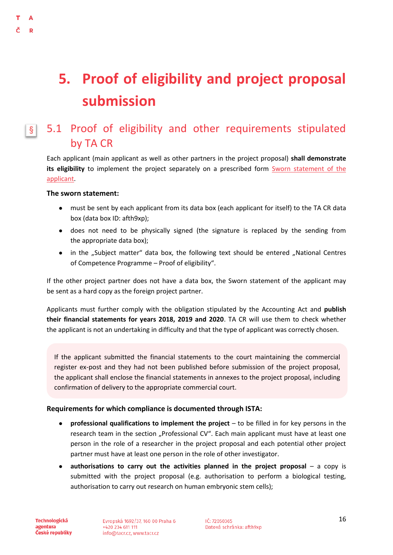# <span id="page-15-0"></span>**5. Proof of eligibility and project proposal submission**

#### 5.1 Proof of eligibility and other requirements stipulated  $\S \mid$ by TA CR

Each applicant (main applicant as well as other partners in the project proposal) **shall demonstrate its eligibility** to implement the project separately on a prescribed form [Sworn statement of the](https://www.tacr.cz/dokumenty/cestne-prohlaseni-za-uchazece-sworn-statement-of-the-applicant-7)  [applicant.](https://www.tacr.cz/dokumenty/cestne-prohlaseni-za-uchazece-sworn-statement-of-the-applicant-7)

#### **The sworn statement:**

<span id="page-15-1"></span> $\Lambda$ D

- must be sent by each applicant from its data box (each applicant for itself) to the TA CR data box (data box ID: afth9xp);
- does not need to be physically signed (the signature is replaced by the sending from the appropriate data box);
- in the "Subject matter" data box, the following text should be entered "National Centres of Competence Programme – Proof of eligibility".

If the other project partner does not have a data box, the Sworn statement of the applicant may be sent as a hard copy as the foreign project partner.

Applicants must further comply with the obligation stipulated by the Accounting Act and **publish their financial statements for years 2018, 2019 and 2020**. TA CR will use them to check whether the applicant is not an undertaking in difficulty and that the type of applicant was correctly chosen.

If the applicant submitted the financial statements to the court maintaining the commercial register ex-post and they had not been published before submission of the project proposal, the applicant shall enclose the financial statements in annexes to the project proposal, including confirmation of delivery to the appropriate commercial court.

#### **Requirements for which compliance is documented through ISTA:**

- **professional qualifications to implement the project** to be filled in for key persons in the research team in the section "Professional CV". Each main applicant must have at least one person in the role of a researcher in the project proposal and each potential other project partner must have at least one person in the role of other investigator.
- authorisations to carry out the activities planned in the project proposal a copy is submitted with the project proposal (e.g. authorisation to perform a biological testing, authorisation to carry out research on human embryonic stem cells);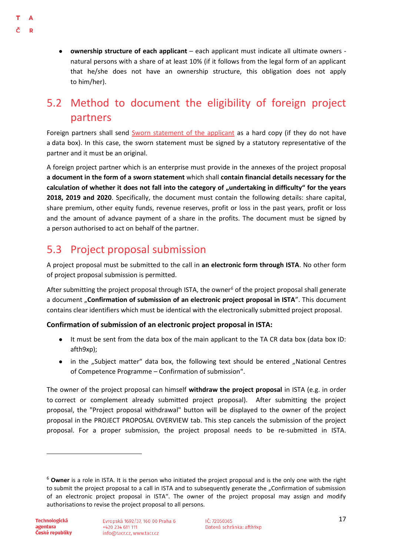D

 $\Lambda$ 

● **ownership structure of each applicant** – each applicant must indicate all ultimate owners natural persons with a share of at least 10% (if it follows from the legal form of an applicant that he/she does not have an ownership structure, this obligation does not apply to him/her).

### <span id="page-16-0"></span>5.2 Method to document the eligibility of foreign project partners

Foreign partners shall send [Sworn statement of the applicant](https://www.tacr.cz/dokumenty/cestne-prohlaseni-za-uchazece-sworn-statement-of-the-applicant-7) as a hard copy (if they do not have a data box). In this case, the sworn statement must be signed by a statutory representative of the partner and it must be an original.

A foreign project partner which is an enterprise must provide in the annexes of the project proposal **a document in the form of a sworn statement** which shall **contain financial details necessary for the**  calculation of whether it does not fall into the category of "undertaking in difficulty" for the years **2018, 2019 and 2020**. Specifically, the document must contain the following details: share capital, share premium, other equity funds, revenue reserves, profit or loss in the past years, profit or loss and the amount of advance payment of a share in the profits. The document must be signed by a person authorised to act on behalf of the partner.

### <span id="page-16-1"></span>5.3 Project proposal submission

A project proposal must be submitted to the call in **an electronic form through ISTA**. No other form of project proposal submission is permitted.

After submitting the project proposal through ISTA, the owner<sup>6</sup> of the project proposal shall generate a document "**Confirmation of submission of an electronic project proposal in ISTA**". This document contains clear identifiers which must be identical with the electronically submitted project proposal.

#### **Confirmation of submission of an electronic project proposal in ISTA:**

- It must be sent from the data box of the main applicant to the TA CR data box (data box ID: afth9xp);
- in the "Subject matter" data box, the following text should be entered "National Centres of Competence Programme – Confirmation of submission".

The owner of the project proposal can himself **withdraw the project proposal** in ISTA (e.g. in order to correct or complement already submitted project proposal). After submitting the project proposal, the "Project proposal withdrawal" button will be displayed to the owner of the project proposal in the PROJECT PROPOSAL OVERVIEW tab. This step cancels the submission of the project proposal. For a proper submission, the project proposal needs to be re-submitted in ISTA.

**.** 

<sup>6</sup> **Owner** is a role in ISTA. It is the person who initiated the project proposal and is the only one with the right to submit the project proposal to a call in ISTA and to subsequently generate the "Confirmation of submission of an electronic project proposal in ISTA". The owner of the project proposal may assign and modify authorisations to revise the project proposal to all persons.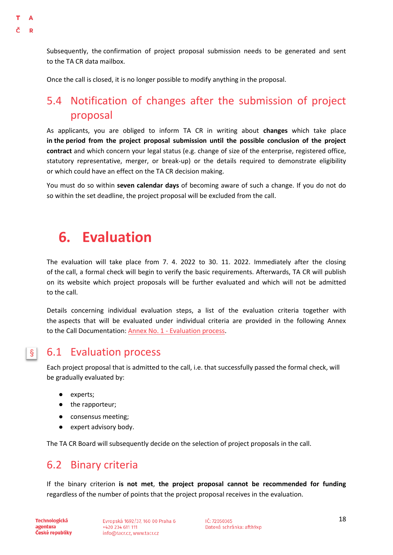<span id="page-17-2"></span>Subsequently, the confirmation of project proposal submission needs to be generated and sent to the TA CR data mailbox.

Once the call is closed, it is no longer possible to modify anything in the proposal.

### <span id="page-17-0"></span>5.4 Notification of changes after the submission of project proposal

As applicants, you are obliged to inform TA CR in writing about **changes** which take place **in the period from the project proposal submission until the possible conclusion of the project contract** and which concern your legal status (e.g. change of size of the enterprise, registered office, statutory representative, merger, or break-up) or the details required to demonstrate eligibility or which could have an effect on the TA CR decision making.

You must do so within **seven calendar days** of becoming aware of such a change. If you do not do so within the set deadline, the project proposal will be excluded from the call.

# <span id="page-17-1"></span>**6. Evaluation**

The evaluation will take place from 7. 4. 2022 to 30. 11. 2022. Immediately after the closing of the call, a formal check will begin to verify the basic requirements. Afterwards, TA CR will publish on its website which project proposals will be further evaluated and which will not be admitted to the call.

Details concerning individual evaluation steps, a list of the evaluation criteria together with the aspects that will be evaluated under individual criteria are provided in the following Annex to the Call Documentation: Annex No. 1 - [Evaluation process.](https://www.tacr.cz/dokumenty/annex-no-1-evaluation-process)

#### 6.1 Evaluation process  $\S$

Each project proposal that is admitted to the call, i.e. that successfully passed the formal check, will be gradually evaluated by:

- experts;
- the rapporteur;
- consensus meeting;
- expert advisory body.

The TA CR Board will subsequently decide on the selection of project proposals in the call.

### <span id="page-17-3"></span>6.2 Binary criteria

If the binary criterion **is not met**, **the project proposal cannot be recommended for funding**  regardless of the number of points that the project proposal receives in the evaluation.

**Technologická** agentura České republiky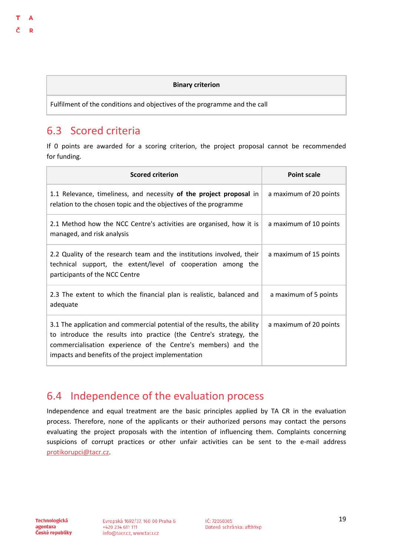#### **Binary criterion**

Fulfilment of the conditions and objectives of the programme and the call

### <span id="page-18-0"></span>6.3 Scored criteria

If 0 points are awarded for a scoring criterion, the project proposal cannot be recommended for funding.

| <b>Scored criterion</b>                                                                                                                                                                                                                                               | <b>Point scale</b>     |
|-----------------------------------------------------------------------------------------------------------------------------------------------------------------------------------------------------------------------------------------------------------------------|------------------------|
| 1.1 Relevance, timeliness, and necessity of the project proposal in<br>relation to the chosen topic and the objectives of the programme                                                                                                                               | a maximum of 20 points |
| 2.1 Method how the NCC Centre's activities are organised, how it is<br>managed, and risk analysis                                                                                                                                                                     | a maximum of 10 points |
| 2.2 Quality of the research team and the institutions involved, their<br>technical support, the extent/level of cooperation among<br>the<br>participants of the NCC Centre                                                                                            | a maximum of 15 points |
| 2.3 The extent to which the financial plan is realistic, balanced and<br>adequate                                                                                                                                                                                     | a maximum of 5 points  |
| 3.1 The application and commercial potential of the results, the ability<br>to introduce the results into practice (the Centre's strategy, the<br>commercialisation experience of the Centre's members) and the<br>impacts and benefits of the project implementation | a maximum of 20 points |

### <span id="page-18-1"></span>6.4 Independence of the evaluation process

Independence and equal treatment are the basic principles applied by TA CR in the evaluation process. Therefore, none of the applicants or their authorized persons may contact the persons evaluating the project proposals with the intention of influencing them. Complaints concerning suspicions of corrupt practices or other unfair activities can be sent to the e-mail address [protikorupci@tacr.cz.](http://protikorupci@tacr.cz)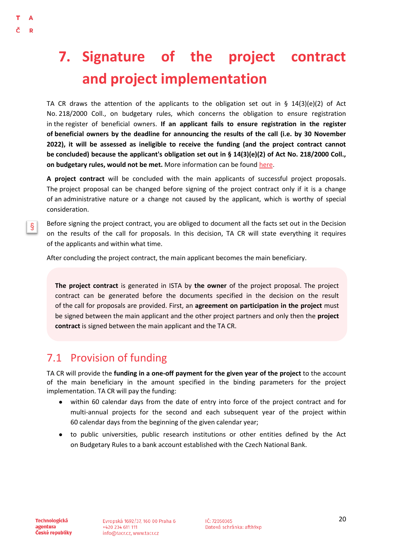# <span id="page-19-0"></span>**7. Signature of the project contract and project implementation**

TA CR draws the attention of the applicants to the obligation set out in § 14(3)(e)(2) of Act No. 218/2000 Coll., on budgetary rules, which concerns the obligation to ensure registration in the register of beneficial owners. **If an applicant fails to ensure registration in the register of beneficial owners by the deadline for announcing the results of the call (i.e. by 30 November 2022), it will be assessed as ineligible to receive the funding (and the project contract cannot be concluded) because the applicant's obligation set out in § 14(3)(e)(2) of Act No. 218/2000 Coll., on budgetary rules, would not be met.** More information can be found [here.](https://esm.justice.cz/ias/issm/napoveda#zapisSM)

**A project contract** will be concluded with the main applicants of successful project proposals. The project proposal can be changed before signing of the project contract only if it is a change of an administrative nature or a change not caused by the applicant, which is worthy of special consideration.

Before signing the project contract, you are obliged to document all the facts set out in the Decision on the results of the call for proposals. In this decision, TA CR will state everything it requires of the applicants and within what time.

After concluding the project contract, the main applicant becomes the main beneficiary.

**The project contract** is generated in ISTA by **the owner** of the project proposal. The project contract can be generated before the documents specified in the decision on the result of the call for proposals are provided. First, an **agreement on participation in the project** must be signed between the main applicant and the other project partners and only then the **project contract** is signed between the main applicant and the TA CR.

### <span id="page-19-1"></span>7.1 Provision of funding

TA CR will provide the **funding in a one-off payment for the given year of the project** to the account of the main beneficiary in the amount specified in the binding parameters for the project implementation. TA CR will pay the funding:

- within 60 calendar days from the date of entry into force of the project contract and for multi-annual projects for the second and each subsequent year of the project within 60 calendar days from the beginning of the given calendar year;
- to public universities, public research institutions or other entities defined by the Act on Budgetary Rules to a bank account established with the Czech National Bank.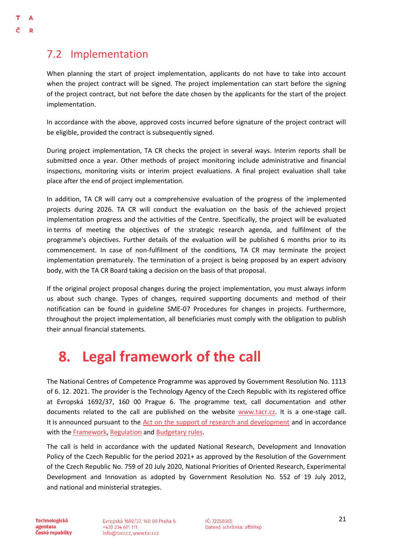т  $\Delta$ D

> <span id="page-20-0"></span>When planning the start of project implementation, applicants do not have to take into account when the project contract will be signed. The project implementation can start before the signing of the project contract, but not before the date chosen by the applicants for the start of the project implementation.

> In accordance with the above, approved costs incurred before signature of the project contract will be eligible, provided the contract is subsequently signed.

> During project implementation, TA CR checks the project in several ways. Interim reports shall be submitted once a year. Other methods of project monitoring include administrative and financial inspections, monitoring visits or interim project evaluations. A final project evaluation shall take place after the end of project implementation.

> In addition, TA CR will carry out a comprehensive evaluation of the progress of the implemented projects during 2026. TA CR will conduct the evaluation on the basis of the achieved project implementation progress and the activities of the Centre. Specifically, the project will be evaluated in terms of meeting the objectives of the strategic research agenda, and fulfilment of the programme's objectives. Further details of the evaluation will be published 6 months prior to its commencement. In case of non-fulfilment of the conditions, TA CR may terminate the project implementation prematurely. The termination of a project is being proposed by an expert advisory body, with the TA CR Board taking a decision on the basis of that proposal.

> If the original project proposal changes during the project implementation, you must always inform us about such change. Types of changes, required supporting documents and method of their notification can be found in guideline SME-07 Procedures for changes in projects. Furthermore, throughout the project implementation, all beneficiaries must comply with the obligation to publish their annual financial statements.

# <span id="page-20-1"></span>**8. Legal framework of the call**

The National Centres of Competence Programme was approved by Government Resolution No. 1113 of 6. 12. 2021. The provider is the Technology Agency of the Czech Republic with its registered office at Evropská 1692/37, 160 00 Prague 6. The programme text, call documentation and other documents related to the call are published on the website [www.tacr.cz.](http://www.tacr.cz/) It is a one-stage call. It is announced pursuant to the [Act on the support of research and development](https://www.vyzkum.cz/FrontClanek.aspx?idsekce=858) and in accordance with th[e Framework,](https://eur-lex.europa.eu/legal-content/CS/TXT/?qid=1412338382197&uri=CELEX:52014XC0627(01)) [Regulation](https://eur-lex.europa.eu/legal-content/CS/TXT/?qid=1412338347983&uri=CELEX:32014R0651) an[d Budgetary rules.](https://www.zakonyprolidi.cz/cs/2000-218)

The call is held in accordance with the updated National Research, Development and Innovation Policy of the Czech Republic for the period 2021+ as approved by the Resolution of the Government of the Czech Republic No. 759 of 20 July 2020, National Priorities of Oriented Research, Experimental Development and Innovation as adopted by Government Resolution No. 552 of 19 July 2012, and national and ministerial strategies.

**Technologická** agentura České republiky Evropská 1692/37, 160 00 Praha 6 +420 234 611 111 info@tacr.cz, www.tacr.cz

 $1$ Č: 72050365 Datová schránka: afth9xp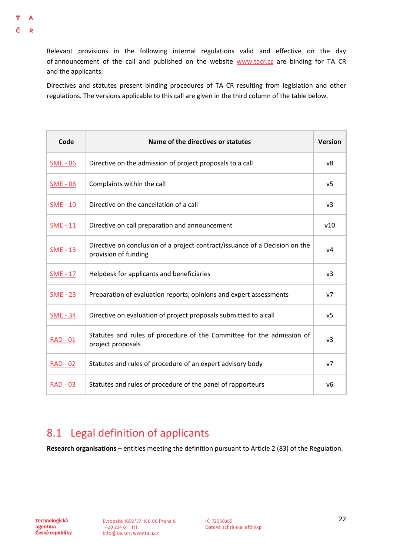Relevant provisions in the following internal regulations valid and effective on the day of announcement of the call and published on the website [www.tacr.cz](https://www.tacr.cz/) are binding for TA CR and the applicants.

Directives and statutes present binding procedures of TA CR resulting from legislation and other regulations. The versions applicable to this call are given in the third column of the table below.

| Code            | Name of the directives or statutes                                                                  | <b>Version</b> |
|-----------------|-----------------------------------------------------------------------------------------------------|----------------|
| $SME - 06$      | Directive on the admission of project proposals to a call                                           | v8             |
| $SME - 08$      | Complaints within the call                                                                          | v <sub>5</sub> |
| $SME - 10$      | Directive on the cancellation of a call                                                             | v3             |
| $SME - 11$      | Directive on call preparation and announcement                                                      | v10            |
| $SME - 13$      | Directive on conclusion of a project contract/issuance of a Decision on the<br>provision of funding | v4             |
| $SME - 17$      | Helpdesk for applicants and beneficiaries                                                           | $v_3$          |
| $SME - 23$      | Preparation of evaluation reports, opinions and expert assessments                                  | V <sub>7</sub> |
| <b>SME - 34</b> | Directive on evaluation of project proposals submitted to a call                                    | v <sub>5</sub> |
| $RAD - 01$      | Statutes and rules of procedure of the Committee for the admission of<br>project proposals          | v <sub>3</sub> |
| $RAD - 02$      | Statutes and rules of procedure of an expert advisory body                                          | v7             |
| <b>RAD - 03</b> | Statutes and rules of procedure of the panel of rapporteurs                                         | v6             |

### <span id="page-21-0"></span>8.1 Legal definition of applicants

**Research organisations** – entities meeting the definition pursuant to Article 2 (83) of the Regulation.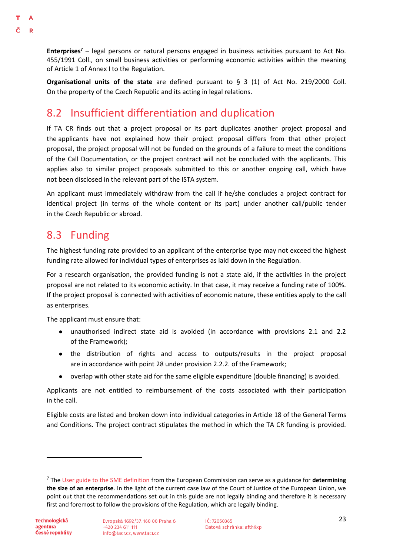**Enterprises<sup>7</sup>** – legal persons or natural persons engaged in business activities pursuant to Act No. 455/1991 Coll., on small business activities or performing economic activities within the meaning of Article 1 of Annex I to the Regulation.

**Organisational units of the state** are defined pursuant to § 3 (1) of Act No. 219/2000 Coll. On the property of the Czech Republic and its acting in legal relations.

### <span id="page-22-0"></span>8.2 Insufficient differentiation and duplication

If TA CR finds out that a project proposal or its part duplicates another project proposal and the applicants have not explained how their project proposal differs from that other project proposal, the project proposal will not be funded on the grounds of a failure to meet the conditions of the Call Documentation, or the project contract will not be concluded with the applicants. This applies also to similar project proposals submitted to this or another ongoing call, which have not been disclosed in the relevant part of the ISTA system.

An applicant must immediately withdraw from the call if he/she concludes a project contract for identical project (in terms of the whole content or its part) under another call/public tender in the Czech Republic or abroad.

### <span id="page-22-1"></span>8.3 Funding

The highest funding rate provided to an applicant of the enterprise type may not exceed the highest funding rate allowed for individual types of enterprises as laid down in the Regulation.

For a research organisation, the provided funding is not a state aid, if the activities in the project proposal are not related to its economic activity. In that case, it may receive a funding rate of 100%. If the project proposal is connected with activities of economic nature, these entities apply to the call as enterprises.

The applicant must ensure that:

- unauthorised indirect state aid is avoided (in accordance with provisions 2.1 and 2.2 of the Framework);
- the distribution of rights and access to outputs/results in the project proposal are in accordance with point 28 under provision 2.2.2. of the Framework;
- overlap with other state aid for the same eligible expenditure (double financing) is avoided.

Applicants are not entitled to reimbursement of the costs associated with their participation in the call.

Eligible costs are listed and broken down into individual categories in Article 18 of the General Terms and Conditions. The project contract stipulates the method in which the TA CR funding is provided.

**.** 

<sup>7</sup> The [User guide to the SME definition](https://op.europa.eu/cs/publication-detail/-/publication/756d9260-ee54-11ea-991b-01aa75ed71a1/language-cs) from the European Commission can serve as a guidance for **determining the size of an enterprise**. In the light of the current case law of the Court of Justice of the European Union, we point out that the recommendations set out in this guide are not legally binding and therefore it is necessary first and foremost to follow the provisions of the Regulation, which are legally binding.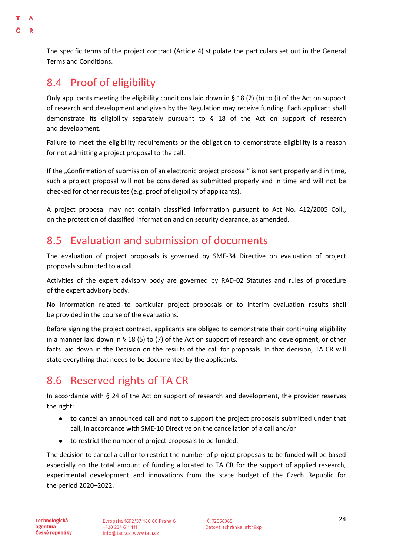The specific terms of the project contract (Article 4) stipulate the particulars set out in the General Terms and Conditions.

### <span id="page-23-0"></span>8.4 Proof of eligibility

 $\Delta$ D

> Only applicants meeting the eligibility conditions laid down in § 18 (2) (b) to (i) of the Act on support of research and development and given by the Regulation may receive funding. Each applicant shall demonstrate its eligibility separately pursuant to § 18 of the Act on support of research and development.

> Failure to meet the eligibility requirements or the obligation to demonstrate eligibility is a reason for not admitting a project proposal to the call.

> If the "Confirmation of submission of an electronic project proposal" is not sent properly and in time, such a project proposal will not be considered as submitted properly and in time and will not be checked for other requisites (e.g. proof of eligibility of applicants).

> A project proposal may not contain classified information pursuant to Act No. 412/2005 Coll., on the protection of classified information and on security clearance, as amended.

### <span id="page-23-1"></span>8.5 Evaluation and submission of documents

The evaluation of project proposals is governed by SME-34 Directive on evaluation of project proposals submitted to a call.

Activities of the expert advisory body are governed by RAD-02 Statutes and rules of procedure of the expert advisory body.

No information related to particular project proposals or to interim evaluation results shall be provided in the course of the evaluations.

Before signing the project contract, applicants are obliged to demonstrate their continuing eligibility in a manner laid down in § 18 (5) to (7) of the Act on support of research and development, or other facts laid down in the Decision on the results of the call for proposals. In that decision, TA CR will state everything that needs to be documented by the applicants.

### <span id="page-23-2"></span>8.6 Reserved rights of TA CR

In accordance with § 24 of the Act on support of research and development, the provider reserves the right:

- to cancel an announced call and not to support the project proposals submitted under that call, in accordance with SME-10 Directive on the cancellation of a call and/or
- to restrict the number of project proposals to be funded.

The decision to cancel a call or to restrict the number of project proposals to be funded will be based especially on the total amount of funding allocated to TA CR for the support of applied research, experimental development and innovations from the state budget of the Czech Republic for the period 2020–2022.